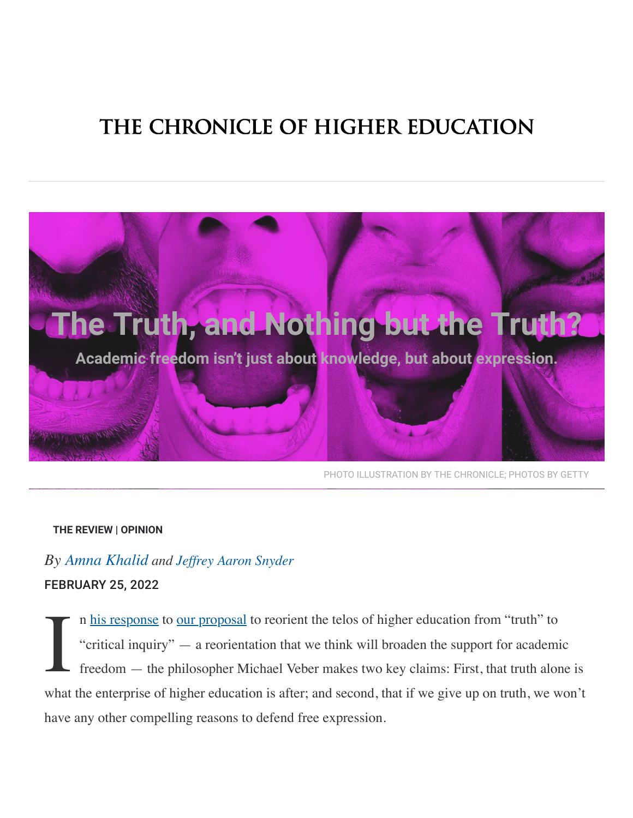# THE CHRONICLE OF HIGHER EDUCATION



PHOTO ILLUSTRATION BY THE CHRONICLE: PHOTOS BY GETTY

#### THE REVIEW | OPINION

# By Amna Khalid and Jeffrey Aaron Snyder **FEBRUARY 25, 2022**

n his response to our proposal to reorient the telos of higher education from "truth" to "critical inquiry" — a reorientation that we think will broaden the support for academic freedom — the philosopher Michael Veber makes two key claims: First, that truth alone is what the enterprise of higher education is after; and second, that if we give up on truth, we won't have any other compelling reasons to defend free expression.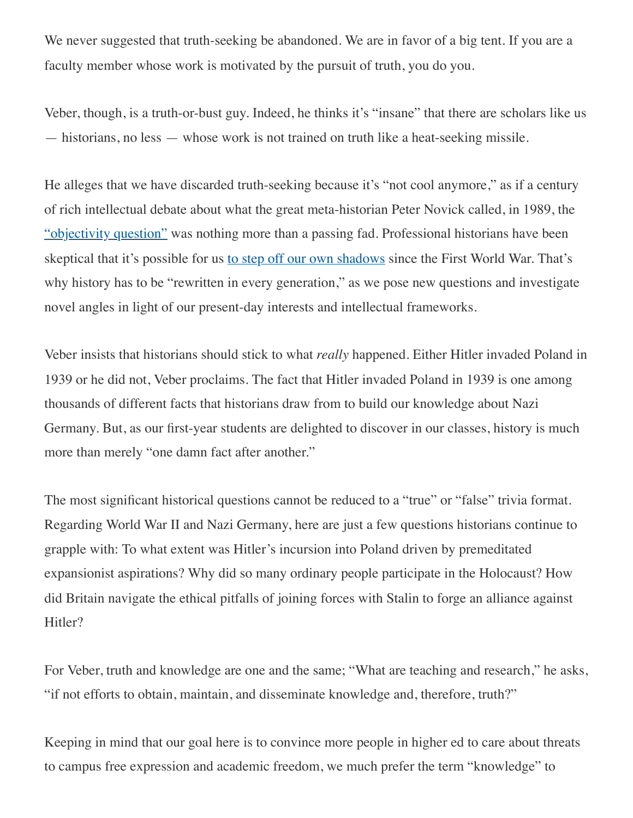We never suggested that truth-seeking be abandoned. We are in favor of a big tent. If you are a faculty member whose work is motivated by the pursuit of truth, you do you.

Veber, though, is a truth-or-bust guy. Indeed, he thinks it's "insane" that there are scholars like us — historians, no less — whose work is not trained on truth like a heat-seeking missile.

He alleges that we have discarded truth-seeking because it's "not cool anymore," as if a century of rich intellectual debate about what the great meta-historian Peter Novick called, in 1989, the "objectivity question" was nothing more than a passing fad. Professional historians have been skeptical that it's possible for us to step off our own shadows since the First World War. That's why history has to be "rewritten in every generation," as we pose new questions and investigate novel angles in light of our present-day interests and intellectual frameworks.

Veber insists that historians should stick to what *really* happened. Either Hitler invaded Poland in 1939 or he did not, Veber proclaims. The fact that Hitler invaded Poland in 1939 is one among thousands of different facts that historians draw from to build our knowledge about Nazi Germany. But, as our first-year students are delighted to discover in our classes, history is much more than merely "one damn fact after another."

The most significant historical questions cannot be reduced to a "true" or "false" trivia format. Regarding World War II and Nazi Germany, here are just a few questions historians continue to grapple with: To what extent was Hitler·s incursion into Poland driven by premeditated expansionist aspirations? Why did so many ordinary people participate in the Holocaust? How did Britain navigate the ethical pitfalls of joining forces with Stalin to forge an alliance against Hitler?

For Veber, truth and knowledge are one and the same; "What are teaching and research," he asks, "if not efforts to obtain, maintain, and disseminate knowledge and, therefore, truth?"

Keeping in mind that our goal here is to convince more people in higher ed to care about threats to campus free expression and academic freedom, we much prefer the term "knowledge" to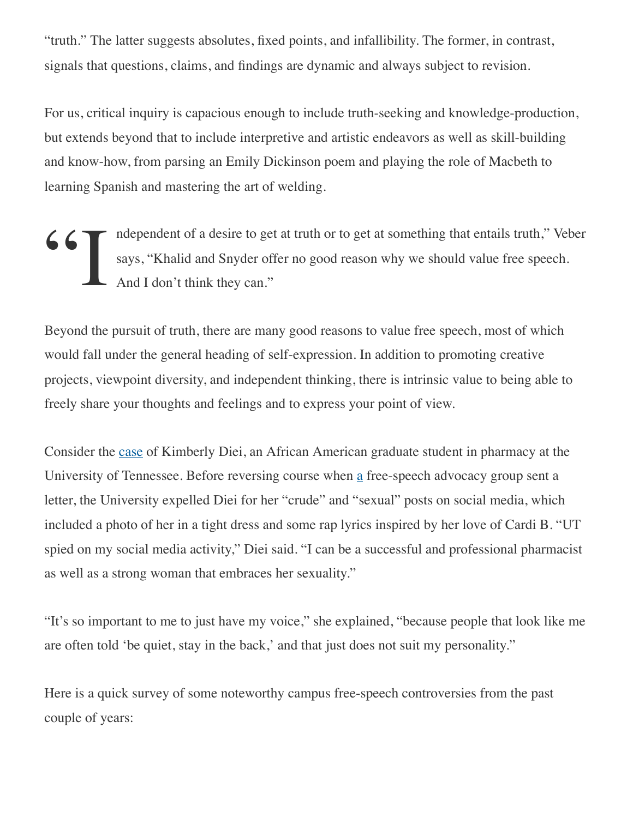"truth." The latter suggests absolutes, fixed points, and infallibility. The former, in contrast, signals that questions, claims, and findings are dynamic and always subject to revision.

For us, critical inquiry is capacious enough to include truth-seeking and knowledge-production, but extends beyond that to include interpretive and artistic endeavors as well as skill-building and know-how, from parsing an Emily Dickinson poem and playing the role of Macbeth to learning Spanish and mastering the art of welding.

Solomontails truth," Veber says, "Khalid and Snyder offer no good reason why we should value free speech.<br>And I don't think they can." says, "Khalid and Snyder offer no good reason why we should value free speech. And I don't think they can."

Beyond the pursuit of truth, there are many good reasons to value free speech, most of which would fall under the general heading of self-expression. In addition to promoting creative projects, viewpoint diversity, and independent thinking, there is intrinsic value to being able to freely share your thoughts and feelings and to express your point of view.

Consider the case of Kimberly Diei, an African American graduate student in pharmacy at the University of Tennessee. Before reversing course when a free-speech advocacy group sent a letter, the University expelled Diei for her "crude" and "sexual" posts on social media, which included a photo of her in a tight dress and some rap lyrics inspired by her love of Cardi B. "UT spied on my social media activity," Diei said. "I can be a successful and professional pharmacist as well as a strong woman that embraces her sexuality."

"It's so important to me to just have my voice," she explained, "because people that look like me are often told 'be quiet, stay in the back,' and that just does not suit my personality."

Here is a quick survey of some noteworthy campus free-speech controversies from the past couple of years: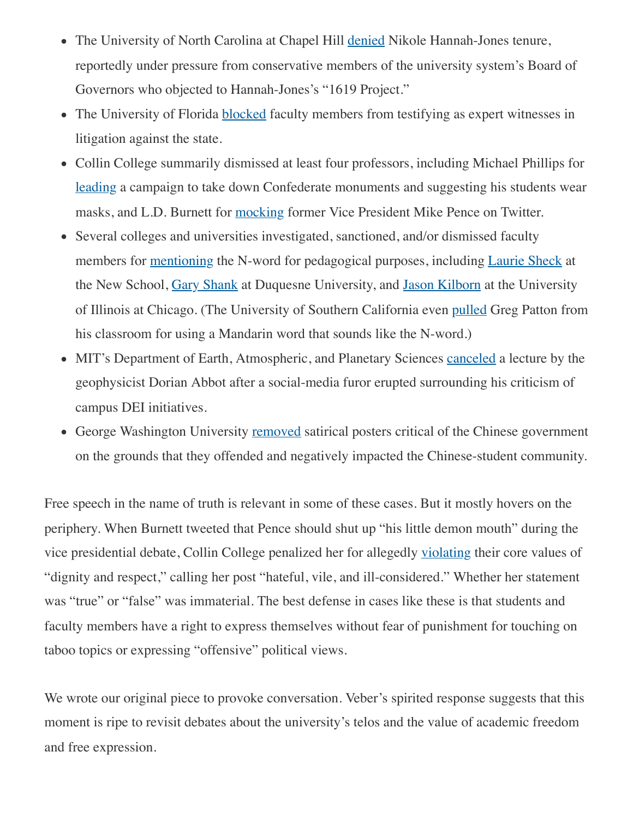- The University of North Carolina at Chapel Hill denied Nikole Hannah-Jones tenure, reportedly under pressure from conservative members of the university system's Board of Governors who objected to Hannah-Jones's "1619 Project."
- The University of Florida blocked faculty members from testifying as expert witnesses in litigation against the state.
- Collin College summarily dismissed at least four professors, including Michael Phillips for leading a campaign to take down Confederate monuments and suggesting his students wear masks, and L.D. Burnett for mocking former Vice President Mike Pence on Twitter.
- Several colleges and universities investigated, sanctioned, and/or dismissed faculty members for <u>mentioning</u> the N-word for pedagogical purposes, including *Laurie Sheck* at the New School, Gary Shank at Duquesne University, and Jason Kilborn at the University of Illinois at Chicago. (The University of Southern California even pulled Greg Patton from his classroom for using a Mandarin word that sounds like the N-word.)
- MIT's Department of Earth, Atmospheric, and Planetary Sciences canceled a lecture by the geophysicist Dorian Abbot after a social-media furor erupted surrounding his criticism of campus DEI initiatives.
- George Washington University removed satirical posters critical of the Chinese government on the grounds that they offended and negatively impacted the Chinese-student community.

Free speech in the name of truth is relevant in some of these cases. But it mostly hovers on the periphery. When Burnett tweeted that Pence should shut up "his little demon mouth" during the vice presidential debate, Collin College penalized her for allegedly violating their core values of "dignity and respect," calling her post "hateful, vile, and ill-considered." Whether her statement was "true" or "false" was immaterial. The best defense in cases like these is that students and faculty members have a right to express themselves without fear of punishment for touching on taboo topics or expressing "offensive" political views.

We wrote our original piece to provoke conversation. Veber's spirited response suggests that this moment is ripe to revisit debates about the university's telos and the value of academic freedom and free expression.